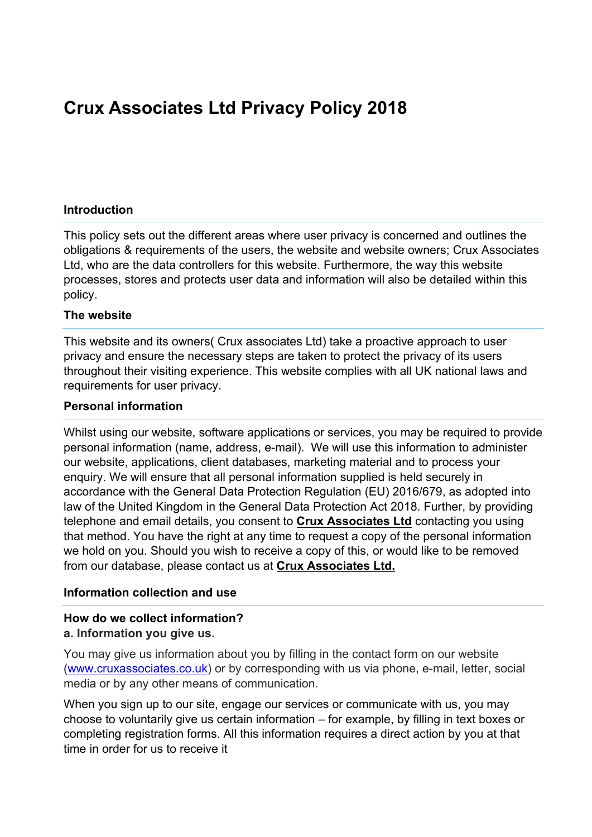# **Crux Associates Ltd Privacy Policy 2018**

#### **Introduction**

This policy sets out the different areas where user privacy is concerned and outlines the obligations & requirements of the users, the website and website owners; Crux Associates Ltd, who are the data controllers for this website. Furthermore, the way this website processes, stores and protects user data and information will also be detailed within this policy.

#### **The website**

This website and its owners( Crux associates Ltd) take a proactive approach to user privacy and ensure the necessary steps are taken to protect the privacy of its users throughout their visiting experience. This website complies with all UK national laws and requirements for user privacy.

#### **Personal information**

Whilst using our website, software applications or services, you may be required to provide personal information (name, address, e-mail). We will use this information to administer our website, applications, client databases, marketing material and to process your enquiry. We will ensure that all personal information supplied is held securely in accordance with the General Data Protection Regulation (EU) 2016/679, as adopted into law of the United Kingdom in the General Data Protection Act 2018. Further, by providing telephone and email details, you consent to **Crux Associates Ltd** contacting you using that method. You have the right at any time to request a copy of the personal information we hold on you. Should you wish to receive a copy of this, or would like to be removed from our database, please contact us at **Crux Associates Ltd.**

#### **Information collection and use**

#### **How do we collect information? a. Information you give us.**

You may give us information about you by filling in the contact form on our website (www.cruxassociates.co.uk) or by corresponding with us via phone, e-mail, letter, social media or by any other means of communication.

When you sign up to our site, engage our services or communicate with us, you may choose to voluntarily give us certain information – for example, by filling in text boxes or completing registration forms. All this information requires a direct action by you at that time in order for us to receive it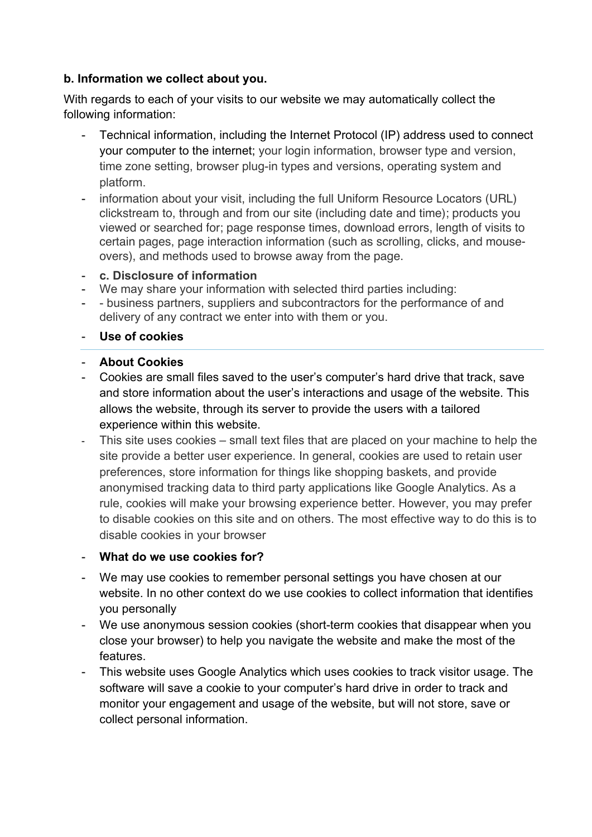## **b. Information we collect about you.**

With regards to each of your visits to our website we may automatically collect the following information:

- Technical information, including the Internet Protocol (IP) address used to connect your computer to the internet; your login information, browser type and version, time zone setting, browser plug-in types and versions, operating system and platform.
- information about your visit, including the full Uniform Resource Locators (URL) clickstream to, through and from our site (including date and time); products you viewed or searched for; page response times, download errors, length of visits to certain pages, page interaction information (such as scrolling, clicks, and mouseovers), and methods used to browse away from the page.
- **c. Disclosure of information**
- We may share your information with selected third parties including:
- - business partners, suppliers and subcontractors for the performance of and delivery of any contract we enter into with them or you.
- **Use of cookies**

# - **About Cookies**

- Cookies are small files saved to the user's computer's hard drive that track, save and store information about the user's interactions and usage of the website. This allows the website, through its server to provide the users with a tailored experience within this website.
- This site uses cookies small text files that are placed on your machine to help the site provide a better user experience. In general, cookies are used to retain user preferences, store information for things like shopping baskets, and provide anonymised tracking data to third party applications like Google Analytics. As a rule, cookies will make your browsing experience better. However, you may prefer to disable cookies on this site and on others. The most effective way to do this is to disable cookies in your browser

### - **What do we use cookies for?**

- We may use cookies to remember personal settings you have chosen at our website. In no other context do we use cookies to collect information that identifies you personally
- We use anonymous session cookies (short-term cookies that disappear when you close your browser) to help you navigate the website and make the most of the features.
- This website uses Google Analytics which uses cookies to track visitor usage. The software will save a cookie to your computer's hard drive in order to track and monitor your engagement and usage of the website, but will not store, save or collect personal information.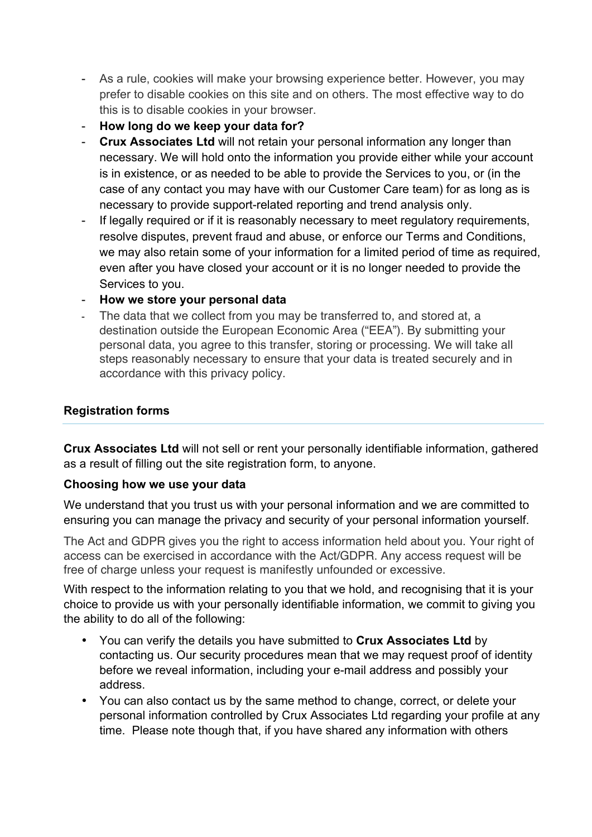- As a rule, cookies will make your browsing experience better. However, you may prefer to disable cookies on this site and on others. The most effective way to do this is to disable cookies in your browser.
- **How long do we keep your data for?**
- **Crux Associates Ltd** will not retain your personal information any longer than necessary. We will hold onto the information you provide either while your account is in existence, or as needed to be able to provide the Services to you, or (in the case of any contact you may have with our Customer Care team) for as long as is necessary to provide support-related reporting and trend analysis only.
- If legally required or if it is reasonably necessary to meet regulatory requirements, resolve disputes, prevent fraud and abuse, or enforce our Terms and Conditions, we may also retain some of your information for a limited period of time as required, even after you have closed your account or it is no longer needed to provide the Services to you.
- **How we store your personal data**
- The data that we collect from you may be transferred to, and stored at, a destination outside the European Economic Area ("EEA"). By submitting your personal data, you agree to this transfer, storing or processing. We will take all steps reasonably necessary to ensure that your data is treated securely and in accordance with this privacy policy.

# **Registration forms**

**Crux Associates Ltd** will not sell or rent your personally identifiable information, gathered as a result of filling out the site registration form, to anyone.

### **Choosing how we use your data**

We understand that you trust us with your personal information and we are committed to ensuring you can manage the privacy and security of your personal information yourself.

The Act and GDPR gives you the right to access information held about you. Your right of access can be exercised in accordance with the Act/GDPR. Any access request will be free of charge unless your request is manifestly unfounded or excessive.

With respect to the information relating to you that we hold, and recognising that it is your choice to provide us with your personally identifiable information, we commit to giving you the ability to do all of the following:

- You can verify the details you have submitted to **Crux Associates Ltd** by contacting us. Our security procedures mean that we may request proof of identity before we reveal information, including your e-mail address and possibly your address.
- You can also contact us by the same method to change, correct, or delete your personal information controlled by Crux Associates Ltd regarding your profile at any time. Please note though that, if you have shared any information with others